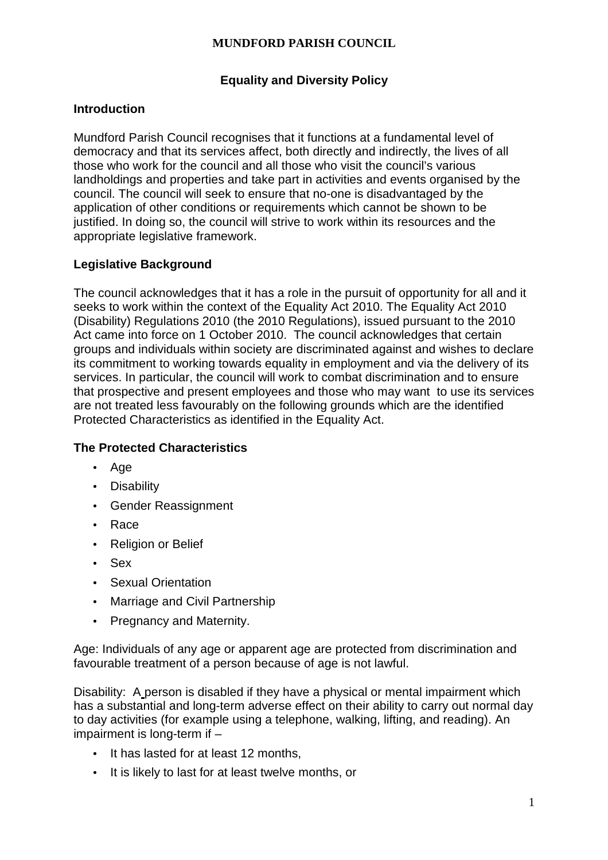# **Equality and Diversity Policy**

## **Introduction**

Mundford Parish Council recognises that it functions at a fundamental level of democracy and that its services affect, both directly and indirectly, the lives of all those who work for the council and all those who visit the council's various landholdings and properties and take part in activities and events organised by the council. The council will seek to ensure that no-one is disadvantaged by the application of other conditions or requirements which cannot be shown to be justified. In doing so, the council will strive to work within its resources and the appropriate legislative framework.

## **Legislative Background**

The council acknowledges that it has a role in the pursuit of opportunity for all and it seeks to work within the context of the Equality Act 2010. The Equality Act 2010 (Disability) Regulations 2010 (the 2010 Regulations), issued pursuant to the 2010 Act came into force on 1 October 2010. The council acknowledges that certain groups and individuals within society are discriminated against and wishes to declare its commitment to working towards equality in employment and via the delivery of its services. In particular, the council will work to combat discrimination and to ensure that prospective and present employees and those who may want to use its services are not treated less favourably on the following grounds which are the identified Protected Characteristics as identified in the Equality Act.

## **The Protected Characteristics**

- Age
- Disability
- Gender Reassignment
- Race
- Religion or Belief
- Sex
- Sexual Orientation
- Marriage and Civil Partnership
- Pregnancy and Maternity.

Age: Individuals of any age or apparent age are protected from discrimination and favourable treatment of a person because of age is not lawful.

Disability: A person is disabled if they have a physical or mental impairment which has a substantial and long-term adverse effect on their ability to carry out normal day to day activities (for example using a telephone, walking, lifting, and reading). An impairment is long-term if –

- It has lasted for at least 12 months,
- It is likely to last for at least twelve months, or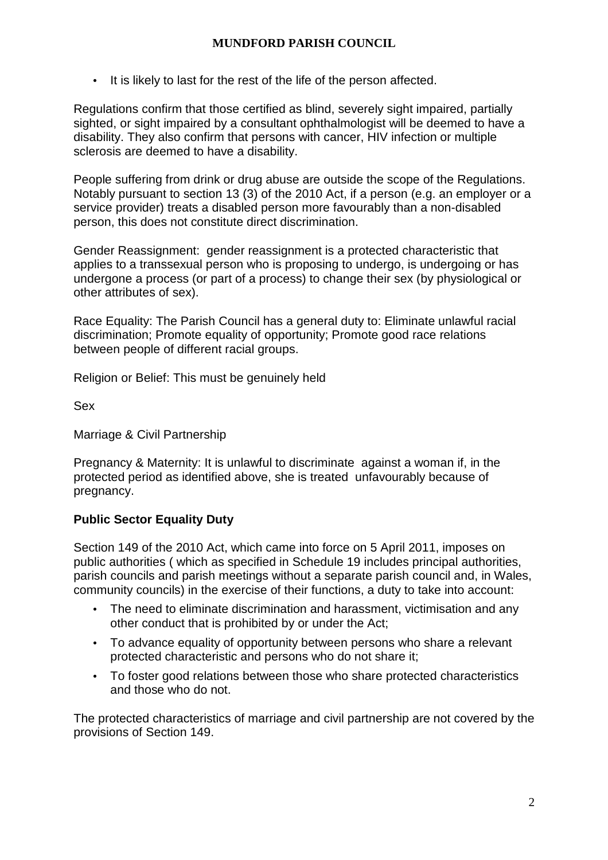• It is likely to last for the rest of the life of the person affected.

Regulations confirm that those certified as blind, severely sight impaired, partially sighted, or sight impaired by a consultant ophthalmologist will be deemed to have a disability. They also confirm that persons with cancer, HIV infection or multiple sclerosis are deemed to have a disability.

People suffering from drink or drug abuse are outside the scope of the Regulations. Notably pursuant to section 13 (3) of the 2010 Act, if a person (e.g. an employer or a service provider) treats a disabled person more favourably than a non-disabled person, this does not constitute direct discrimination.

Gender Reassignment: gender reassignment is a protected characteristic that applies to a transsexual person who is proposing to undergo, is undergoing or has undergone a process (or part of a process) to change their sex (by physiological or other attributes of sex).

Race Equality: The Parish Council has a general duty to: Eliminate unlawful racial discrimination; Promote equality of opportunity; Promote good race relations between people of different racial groups.

Religion or Belief: This must be genuinely held

Sex

Marriage & Civil Partnership

Pregnancy & Maternity: It is unlawful to discriminate against a woman if, in the protected period as identified above, she is treated unfavourably because of pregnancy.

## **Public Sector Equality Duty**

Section 149 of the 2010 Act, which came into force on 5 April 2011, imposes on public authorities ( which as specified in Schedule 19 includes principal authorities, parish councils and parish meetings without a separate parish council and, in Wales, community councils) in the exercise of their functions, a duty to take into account:

- The need to eliminate discrimination and harassment, victimisation and any other conduct that is prohibited by or under the Act;
- To advance equality of opportunity between persons who share a relevant protected characteristic and persons who do not share it;
- To foster good relations between those who share protected characteristics and those who do not.

The protected characteristics of marriage and civil partnership are not covered by the provisions of Section 149.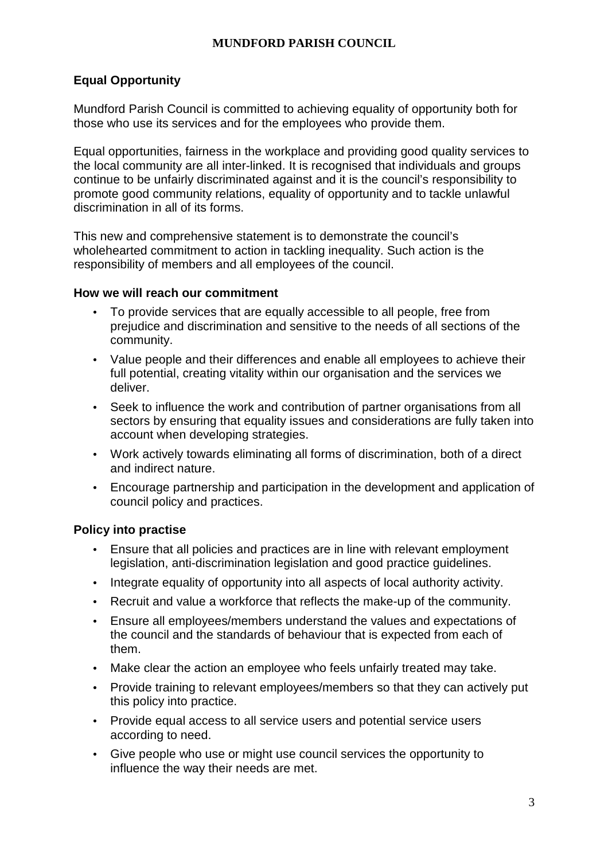# **Equal Opportunity**

Mundford Parish Council is committed to achieving equality of opportunity both for those who use its services and for the employees who provide them.

Equal opportunities, fairness in the workplace and providing good quality services to the local community are all inter-linked. It is recognised that individuals and groups continue to be unfairly discriminated against and it is the council's responsibility to promote good community relations, equality of opportunity and to tackle unlawful discrimination in all of its forms.

This new and comprehensive statement is to demonstrate the council's wholehearted commitment to action in tackling inequality. Such action is the responsibility of members and all employees of the council.

## **How we will reach our commitment**

- To provide services that are equally accessible to all people, free from prejudice and discrimination and sensitive to the needs of all sections of the community.
- Value people and their differences and enable all employees to achieve their full potential, creating vitality within our organisation and the services we deliver.
- Seek to influence the work and contribution of partner organisations from all sectors by ensuring that equality issues and considerations are fully taken into account when developing strategies.
- Work actively towards eliminating all forms of discrimination, both of a direct and indirect nature.
- Encourage partnership and participation in the development and application of council policy and practices.

## **Policy into practise**

- Ensure that all policies and practices are in line with relevant employment legislation, anti-discrimination legislation and good practice guidelines.
- Integrate equality of opportunity into all aspects of local authority activity.
- Recruit and value a workforce that reflects the make-up of the community.
- Ensure all employees/members understand the values and expectations of the council and the standards of behaviour that is expected from each of them.
- Make clear the action an employee who feels unfairly treated may take.
- Provide training to relevant employees/members so that they can actively put this policy into practice.
- Provide equal access to all service users and potential service users according to need.
- Give people who use or might use council services the opportunity to influence the way their needs are met.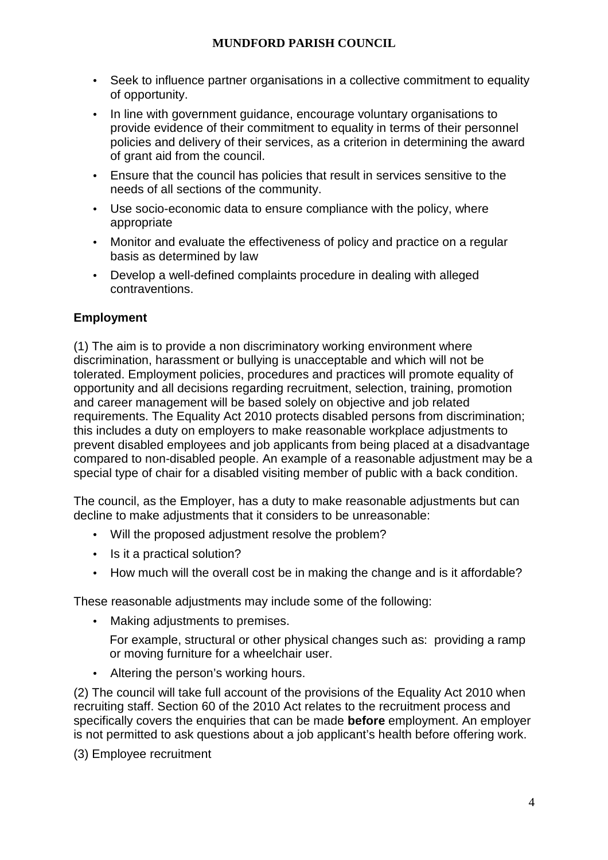- Seek to influence partner organisations in a collective commitment to equality of opportunity.
- In line with government guidance, encourage voluntary organisations to provide evidence of their commitment to equality in terms of their personnel policies and delivery of their services, as a criterion in determining the award of grant aid from the council.
- Ensure that the council has policies that result in services sensitive to the needs of all sections of the community.
- Use socio-economic data to ensure compliance with the policy, where appropriate
- Monitor and evaluate the effectiveness of policy and practice on a regular basis as determined by law
- Develop a well-defined complaints procedure in dealing with alleged contraventions.

# **Employment**

(1) The aim is to provide a non discriminatory working environment where discrimination, harassment or bullying is unacceptable and which will not be tolerated. Employment policies, procedures and practices will promote equality of opportunity and all decisions regarding recruitment, selection, training, promotion and career management will be based solely on objective and job related requirements. The Equality Act 2010 protects disabled persons from discrimination; this includes a duty on employers to make reasonable workplace adjustments to prevent disabled employees and job applicants from being placed at a disadvantage compared to non-disabled people. An example of a reasonable adjustment may be a special type of chair for a disabled visiting member of public with a back condition.

The council, as the Employer, has a duty to make reasonable adjustments but can decline to make adjustments that it considers to be unreasonable:

- Will the proposed adjustment resolve the problem?
- Is it a practical solution?
- How much will the overall cost be in making the change and is it affordable?

These reasonable adjustments may include some of the following:

• Making adjustments to premises.

For example, structural or other physical changes such as: providing a ramp or moving furniture for a wheelchair user.

Altering the person's working hours.

(2) The council will take full account of the provisions of the Equality Act 2010 when recruiting staff. Section 60 of the 2010 Act relates to the recruitment process and specifically covers the enquiries that can be made **before** employment. An employer is not permitted to ask questions about a job applicant's health before offering work.

(3) Employee recruitment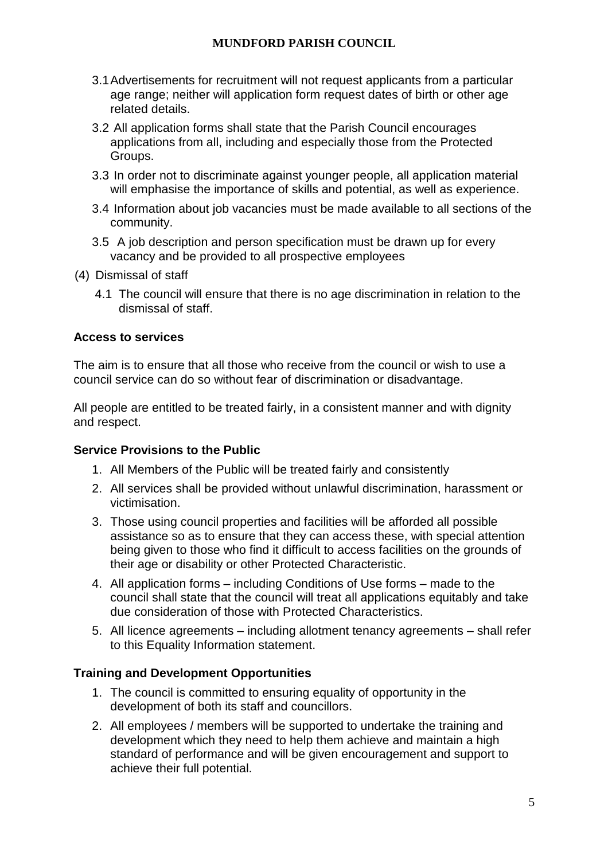- 3.1 Advertisements for recruitment will not request applicants from a particular age range; neither will application form request dates of birth or other age related details.
- 3.2 All application forms shall state that the Parish Council encourages applications from all, including and especially those from the Protected Groups.
- 3.3 In order not to discriminate against younger people, all application material will emphasise the importance of skills and potential, as well as experience.
- 3.4 Information about job vacancies must be made available to all sections of the community.
- 3.5 A job description and person specification must be drawn up for every vacancy and be provided to all prospective employees
- (4) Dismissal of staff
	- 4.1 The council will ensure that there is no age discrimination in relation to the dismissal of staff.

## **Access to services**

The aim is to ensure that all those who receive from the council or wish to use a council service can do so without fear of discrimination or disadvantage.

All people are entitled to be treated fairly, in a consistent manner and with dignity and respect.

#### **Service Provisions to the Public**

- 1. All Members of the Public will be treated fairly and consistently
- 2. All services shall be provided without unlawful discrimination, harassment or victimisation.
- 3. Those using council properties and facilities will be afforded all possible assistance so as to ensure that they can access these, with special attention being given to those who find it difficult to access facilities on the grounds of their age or disability or other Protected Characteristic.
- 4. All application forms including Conditions of Use forms made to the council shall state that the council will treat all applications equitably and take due consideration of those with Protected Characteristics.
- 5. All licence agreements including allotment tenancy agreements shall refer to this Equality Information statement.

## **Training and Development Opportunities**

- 1. The council is committed to ensuring equality of opportunity in the development of both its staff and councillors.
- 2. All employees / members will be supported to undertake the training and development which they need to help them achieve and maintain a high standard of performance and will be given encouragement and support to achieve their full potential.